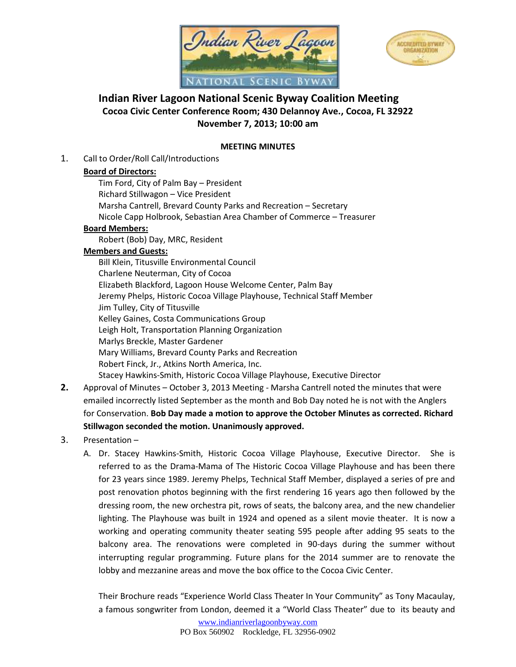



# **Indian River Lagoon National Scenic Byway Coalition Meeting Cocoa Civic Center Conference Room; 430 Delannoy Ave., Cocoa, FL 32922 November 7, 2013; 10:00 am**

### **MEETING MINUTES**

1. Call to Order/Roll Call/Introductions

### **Board of Directors:**

Tim Ford, City of Palm Bay – President Richard Stillwagon – Vice President Marsha Cantrell, Brevard County Parks and Recreation – Secretary Nicole Capp Holbrook, Sebastian Area Chamber of Commerce – Treasurer

### **Board Members:**

Robert (Bob) Day, MRC, Resident

### **Members and Guests:**

Bill Klein, Titusville Environmental Council Charlene Neuterman, City of Cocoa Elizabeth Blackford, Lagoon House Welcome Center, Palm Bay Jeremy Phelps, Historic Cocoa Village Playhouse, Technical Staff Member Jim Tulley, City of Titusville Kelley Gaines, Costa Communications Group Leigh Holt, Transportation Planning Organization Marlys Breckle, Master Gardener Mary Williams, Brevard County Parks and Recreation Robert Finck, Jr., Atkins North America, Inc. Stacey Hawkins-Smith, Historic Cocoa Village Playhouse, Executive Director

- **2.** Approval of Minutes October 3, 2013 Meeting Marsha Cantrell noted the minutes that were emailed incorrectly listed September as the month and Bob Day noted he is not with the Anglers for Conservation. **Bob Day made a motion to approve the October Minutes as corrected. Richard Stillwagon seconded the motion. Unanimously approved.**
- 3. Presentation
	- A. Dr. Stacey Hawkins-Smith, Historic Cocoa Village Playhouse, Executive Director. She is referred to as the Drama-Mama of The Historic Cocoa Village Playhouse and has been there for 23 years since 1989. Jeremy Phelps, Technical Staff Member, displayed a series of pre and post renovation photos beginning with the first rendering 16 years ago then followed by the dressing room, the new orchestra pit, rows of seats, the balcony area, and the new chandelier lighting. The Playhouse was built in 1924 and opened as a silent movie theater. It is now a working and operating community theater seating 595 people after adding 95 seats to the balcony area. The renovations were completed in 90-days during the summer without interrupting regular programming. Future plans for the 2014 summer are to renovate the lobby and mezzanine areas and move the box office to the Cocoa Civic Center.

Their Brochure reads "Experience World Class Theater In Your Community" as Tony Macaulay, a famous songwriter from London, deemed it a "World Class Theater" due to its beauty and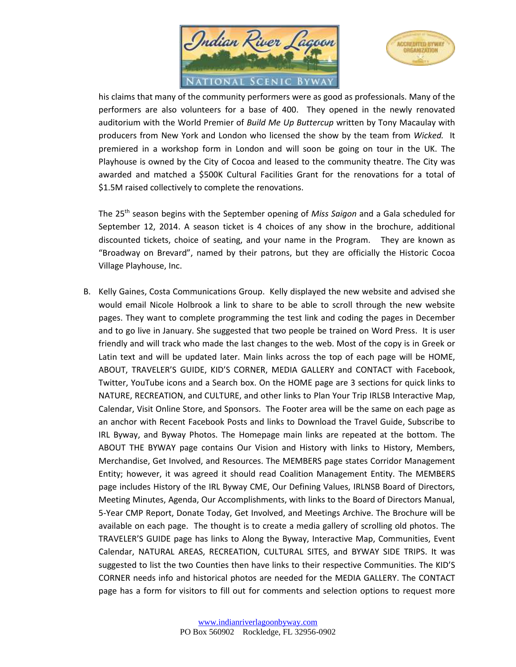



his claims that many of the community performers were as good as professionals. Many of the performers are also volunteers for a base of 400. They opened in the newly renovated auditorium with the World Premier of *Build Me Up Buttercup* written by Tony Macaulay with producers from New York and London who licensed the show by the team from *Wicked.* It premiered in a workshop form in London and will soon be going on tour in the UK. The Playhouse is owned by the City of Cocoa and leased to the community theatre. The City was awarded and matched a \$500K Cultural Facilities Grant for the renovations for a total of \$1.5M raised collectively to complete the renovations.

The 25th season begins with the September opening of *Miss Saigon* and a Gala scheduled for September 12, 2014. A season ticket is 4 choices of any show in the brochure, additional discounted tickets, choice of seating, and your name in the Program. They are known as "Broadway on Brevard", named by their patrons, but they are officially the Historic Cocoa Village Playhouse, Inc.

B. Kelly Gaines, Costa Communications Group. Kelly displayed the new website and advised she would email Nicole Holbrook a link to share to be able to scroll through the new website pages. They want to complete programming the test link and coding the pages in December and to go live in January. She suggested that two people be trained on Word Press. It is user friendly and will track who made the last changes to the web. Most of the copy is in Greek or Latin text and will be updated later. Main links across the top of each page will be HOME, ABOUT, TRAVELER'S GUIDE, KID'S CORNER, MEDIA GALLERY and CONTACT with Facebook, Twitter, YouTube icons and a Search box. On the HOME page are 3 sections for quick links to NATURE, RECREATION, and CULTURE, and other links to Plan Your Trip IRLSB Interactive Map, Calendar, Visit Online Store, and Sponsors. The Footer area will be the same on each page as an anchor with Recent Facebook Posts and links to Download the Travel Guide, Subscribe to IRL Byway, and Byway Photos. The Homepage main links are repeated at the bottom. The ABOUT THE BYWAY page contains Our Vision and History with links to History, Members, Merchandise, Get Involved, and Resources. The MEMBERS page states Corridor Management Entity; however, it was agreed it should read Coalition Management Entity. The MEMBERS page includes History of the IRL Byway CME, Our Defining Values, IRLNSB Board of Directors, Meeting Minutes, Agenda, Our Accomplishments, with links to the Board of Directors Manual, 5-Year CMP Report, Donate Today, Get Involved, and Meetings Archive. The Brochure will be available on each page. The thought is to create a media gallery of scrolling old photos. The TRAVELER'S GUIDE page has links to Along the Byway, Interactive Map, Communities, Event Calendar, NATURAL AREAS, RECREATION, CULTURAL SITES, and BYWAY SIDE TRIPS. It was suggested to list the two Counties then have links to their respective Communities. The KID'S CORNER needs info and historical photos are needed for the MEDIA GALLERY. The CONTACT page has a form for visitors to fill out for comments and selection options to request more